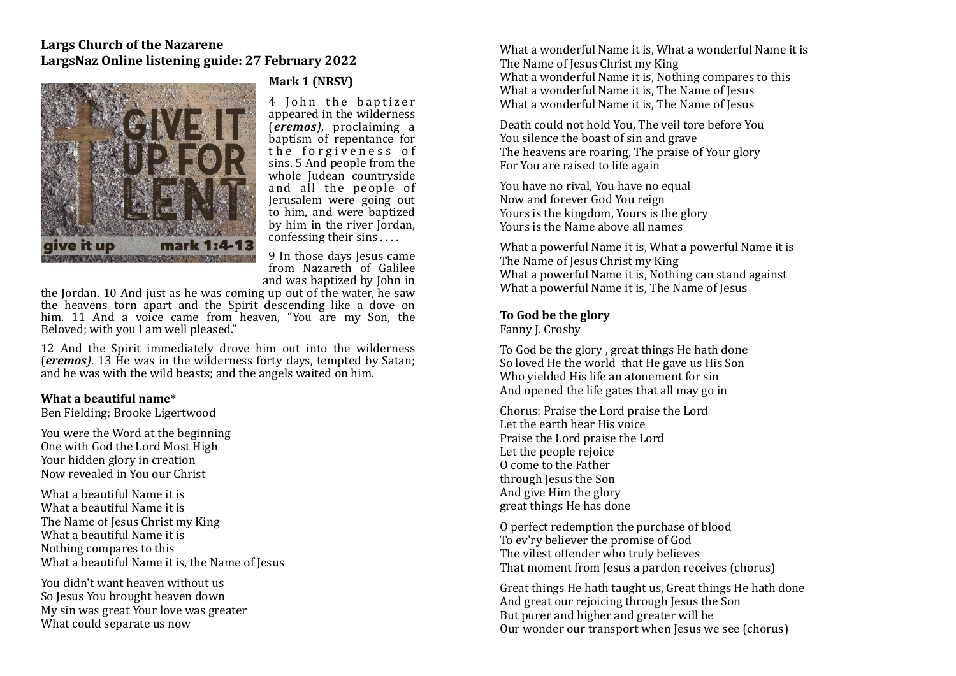# **Largs Church of the Nazarene** LargsNaz Online listening guide: 27 February 2022



#### **Mark 1 (NRSV)**

4 Iohn the baptizer appeared in the wilderness (*eremos)*, proclaiming a baptism of repentance for the forgiveness of sins. 5 And people from the whole Judean countryside and all the people of Jerusalem were going out to him, and were baptized by him in the river Jordan. confessing their  $\sin 5$ ...

9 In those days Jesus came from Nazareth of Galilee and was baptized by John in

the Jordan. 10 And just as he was coming up out of the water, he saw the heavens torn apart and the Spirit descending like a dove on him. 11 And a voice came from heaven, "You are my Son, the Beloved; with you I am well pleased."

12 And the Spirit immediately drove him out into the wilderness (*eremos*). 13 He was in the wilderness forty days, tempted by Satan; and he was with the wild beasts; and the angels waited on him.

#### **What a beautiful name\***

Ben Fielding; Brooke Ligertwood

You were the Word at the beginning One with God the Lord Most High Your hidden glory in creation Now revealed in You our Christ

What a beautiful Name it is What a beautiful Name it is The Name of Jesus Christ my King What a beautiful Name it is Nothing compares to this What a beautiful Name it is, the Name of Jesus

You didn't want heaven without us So Jesus You brought heaven down My sin was great Your love was greater What could separate us now

What a wonderful Name it is, What a wonderful Name it is The Name of Jesus Christ my King What a wonderful Name it is, Nothing compares to this What a wonderful Name it is. The Name of  $I$ esus What a wonderful Name it is, The Name of Jesus

Death could not hold You. The veil tore before You You silence the boast of sin and grave The heavens are roaring. The praise of Your glory For You are raised to life again

You have no rival, You have no equal Now and forever God You reign Yours is the kingdom, Yours is the glory Yours is the Name above all names

What a powerful Name it is, What a powerful Name it is The Name of Jesus Christ my King What a powerful Name it is, Nothing can stand against What a powerful Name it is, The Name of Jesus

### To God be the glory

Fanny J. Crosby

To God be the glory, great things He hath done So loved He the world that He gave us His Son Who vielded His life an atonement for sin And opened the life gates that all may go in

Chorus: Praise the Lord praise the Lord Let the earth hear His voice Praise the Lord praise the Lord Let the people rejoice O come to the Father through Jesus the Son And give Him the glory great things He has done

O perfect redemption the purchase of blood To ev'ry believer the promise of God The vilest offender who truly believes That moment from Jesus a pardon receives (chorus)

Great things He hath taught us, Great things He hath done And great our rejoicing through Jesus the Son But purer and higher and greater will be Our wonder our transport when Jesus we see (chorus)